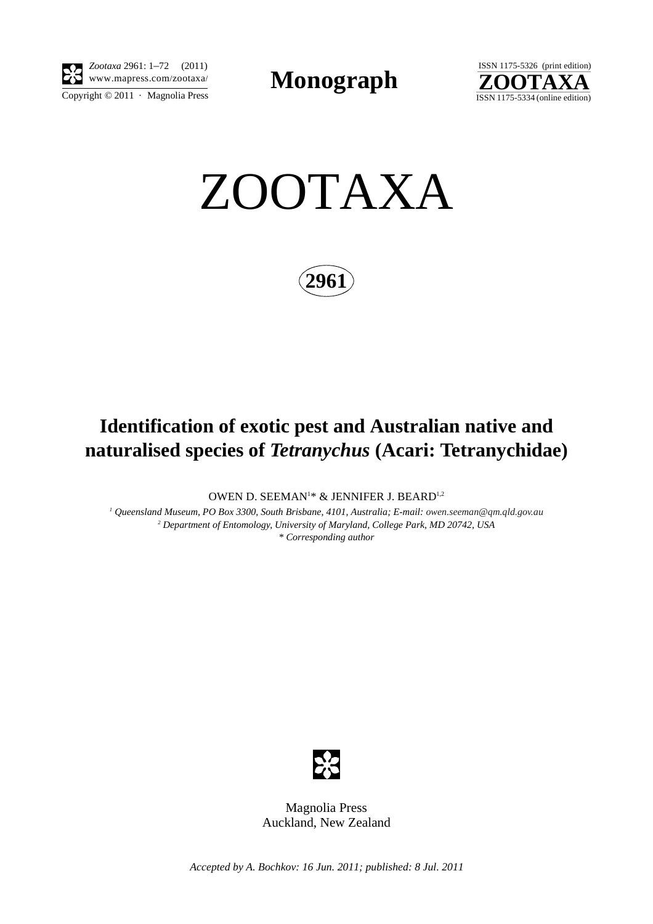

Copyright  $\odot$  2011 · Magnolia Press *Zootaxa* 2961: 1–72 (2011)

**Monograph** 



ZOOTAXA

**2961**

## **Identification of exotic pest and Australian native and naturalised species of** *Tetranychus* **(Acari: Tetranychidae)**

OWEN D. SEEMAN<sup>1</sup>\* & JENNIFER J. BEARD<sup>1,2</sup>

*1 Queensland Museum, PO Box 3300, South Brisbane, 4101, Australia; E-mail: [owen.seeman@qm.qld.gov.au](mailto:owen) 2 Department of Entomology, University of Maryland, College Park, MD 20742, USA \* Corresponding author* 



Magnolia Press Auckland, New Zealand

*Accepted by A. Bochkov: 16 Jun. 2011; published: 8 Jul. 2011*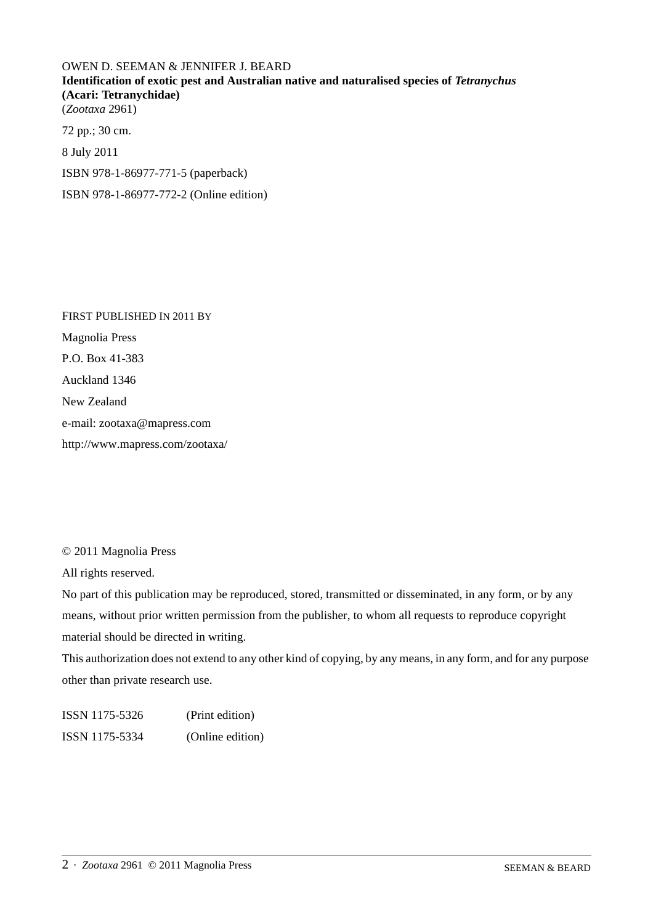OWEN D. SEEMAN & JENNIFER J. BEARD **Identification of exotic pest and Australian native and naturalised species of** *Tetranychus* **(Acari: Tetranychidae)** (*Zootaxa* 2961) 72 pp.; 30 cm. 8 July 2011 ISBN 978-1-86977-771-5 (paperback) ISBN 978-1-86977-772-2 (Online edition)

FIRST PUBLISHED IN 2011 BY Magnolia Press P.O. Box 41-383 Auckland 1346 New Zealand e-mail: zootaxa@mapress.com http://www.mapress.com/zootaxa/

© 2011 Magnolia Press

All rights reserved.

No part of this publication may be reproduced, stored, transmitted or disseminated, in any form, or by any means, without prior written permission from the publisher, to whom all requests to reproduce copyright material should be directed in writing.

This authorization does not extend to any other kind of copying, by any means, in any form, and for any purpose other than private research use.

ISSN 1175-5326 (Print edition) ISSN 1175-5334 (Online edition)